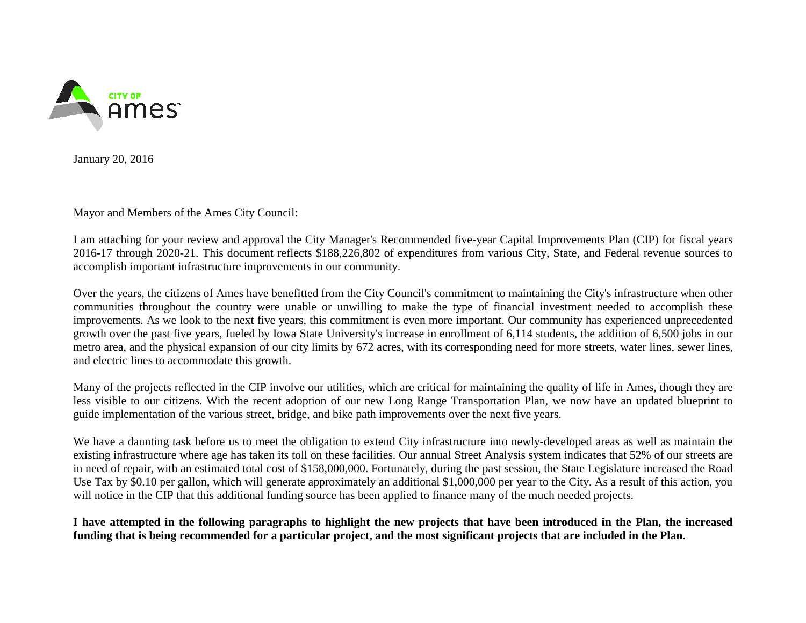

January 20, 2016

Mayor and Members of the Ames City Council:

I am attaching for your review and approval the City Manager's Recommended five-year Capital Improvements Plan (CIP) for fiscal years 2016-17 through 2020-21. This document reflects \$188,226,802 of expenditures from various City, State, and Federal revenue sources to accomplish important infrastructure improvements in our community.

 communities throughout the country were unable or unwilling to make the type of financial investment needed to accomplish these growth over the past five years, fueled by Iowa State University's increase in enrollment of 6,114 students, the addition of 6,500 jobs in our metro area, and the physical expansion of our city limits by 672 acres, with its corresponding need for more streets, water lines, sewer lines, Over the years, the citizens of Ames have benefitted from the City Council's commitment to maintaining the City's infrastructure when other improvements. As we look to the next five years, this commitment is even more important. Our community has experienced unprecedented and electric lines to accommodate this growth.

 Many of the projects reflected in the CIP involve our utilities, which are critical for maintaining the quality of life in Ames, though they are less visible to our citizens. With the recent adoption of our new Long Range Transportation Plan, we now have an updated blueprint to guide implementation of the various street, bridge, and bike path improvements over the next five years.

 We have a daunting task before us to meet the obligation to extend City infrastructure into newly-developed areas as well as maintain the existing infrastructure where age has taken its toll on these facilities. Our annual Street Analysis system indicates that 52% of our streets are in need of repair, with an estimated total cost of \$158,000,000. Fortunately, during the past session, the State Legislature increased the Road Use Tax by \$0.10 per gallon, which will generate approximately an additional \$1,000,000 per year to the City. As a result of this action, you will notice in the CIP that this additional funding source has been applied to finance many of the much needed projects.

**I have attempted in the following paragraphs to highlight the new projects that have been introduced in the Plan, the increased funding that is being recommended for a particular project, and the most significant projects that are included in the Plan.**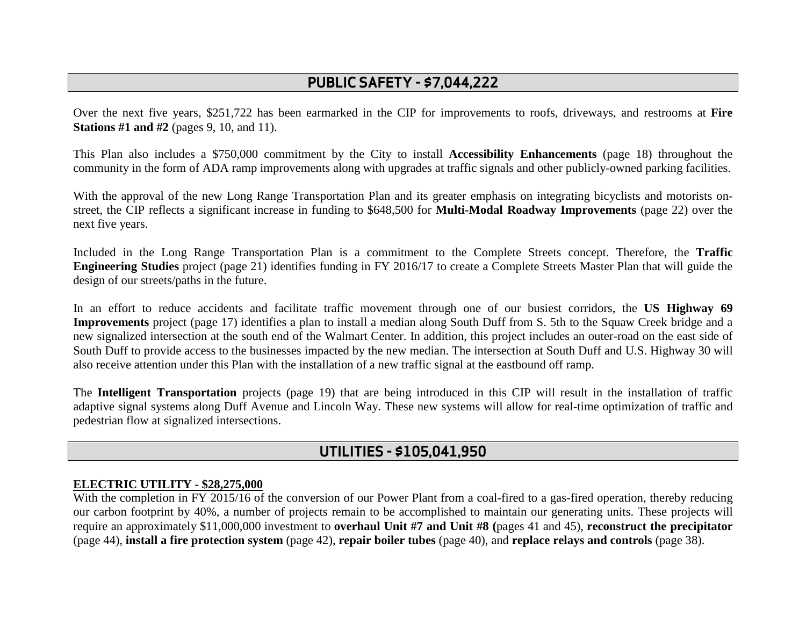# **PUBLIC SAFETY - \$7,044,222**

 Over the next five years, \$251,722 has been earmarked in the CIP for improvements to roofs, driveways, and restrooms at **Fire Stations #1 and #2** (pages 9, 10, and 11).

This Plan also includes a \$750,000 commitment by the City to install **Accessibility Enhancements** (page 18) throughout the community in the form of ADA ramp improvements along with upgrades at traffic signals and other publicly-owned parking facilities.

 street, the CIP reflects a significant increase in funding to \$648,500 for **Multi-Modal Roadway Improvements** (page 22) over the With the approval of the new Long Range Transportation Plan and its greater emphasis on integrating bicyclists and motorists onnext five years.

 **Engineering Studies** project (page 21) identifies funding in FY 2016/17 to create a Complete Streets Master Plan that will guide the Included in the Long Range Transportation Plan is a commitment to the Complete Streets concept. Therefore, the **Traffic**  design of our streets/paths in the future.

 In an effort to reduce accidents and facilitate traffic movement through one of our busiest corridors, the **US Highway 69 Improvements** project (page 17) identifies a plan to install a median along South Duff from S. 5th to the Squaw Creek bridge and a new signalized intersection at the south end of the Walmart Center. In addition, this project includes an outer-road on the east side of South Duff to provide access to the businesses impacted by the new median. The intersection at South Duff and U.S. Highway 30 will also receive attention under this Plan with the installation of a new traffic signal at the eastbound off ramp.

 The **Intelligent Transportation** projects (page 19) that are being introduced in this CIP will result in the installation of traffic adaptive signal systems along Duff Avenue and Lincoln Way. These new systems will allow for real-time optimization of traffic and pedestrian flow at signalized intersections.

## **UTILITIES - \$105,041,950**

#### **ELECTRIC UTILITY - \$28,275,000**

 With the completion in FY 2015/16 of the conversion of our Power Plant from a coal-fired to a gas-fired operation, thereby reducing (page 44), **install a fire protection system** (page 42), **repair boiler tubes** (page 40), and **replace relays and controls** (page 38). our carbon footprint by 40%, a number of projects remain to be accomplished to maintain our generating units. These projects will require an approximately \$11,000,000 investment to **overhaul Unit #7 and Unit #8 (**pages 41 and 45), **reconstruct the precipitator**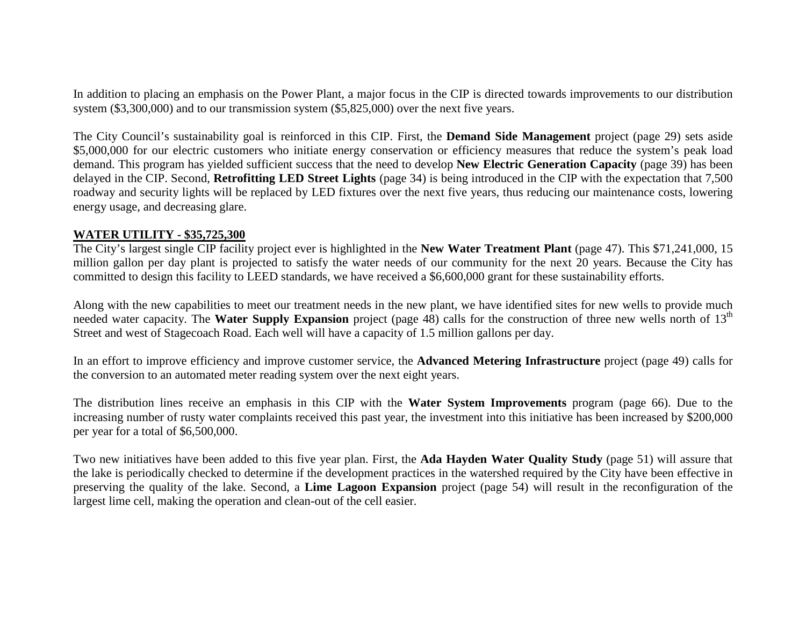system (\$3,300,000) and to our transmission system (\$5,825,000) over the next five years. In addition to placing an emphasis on the Power Plant, a major focus in the CIP is directed towards improvements to our distribution

 The City Council's sustainability goal is reinforced in this CIP. First, the **Demand Side Management** project (page 29) sets aside \$5,000,000 for our electric customers who initiate energy conservation or efficiency measures that reduce the system's peak load demand. This program has yielded sufficient success that the need to develop **New Electric Generation Capacity** (page 39) has been delayed in the CIP. Second, **Retrofitting LED Street Lights** (page 34) is being introduced in the CIP with the expectation that 7,500 roadway and security lights will be replaced by LED fixtures over the next five years, thus reducing our maintenance costs, lowering energy usage, and decreasing glare.

#### **WATER UTILITY - \$35,725,300**

The City's largest single CIP facility project ever is highlighted in the **New Water Treatment Plant** (page 47). This \$71,241,000, 15 million gallon per day plant is projected to satisfy the water needs of our community for the next 20 years. Because the City has committed to design this facility to LEED standards, we have received a \$6,600,000 grant for these sustainability efforts.

Along with the new capabilities to meet our treatment needs in the new plant, we have identified sites for new wells to provide much needed water capacity. The **Water Supply Expansion** project (page 48) calls for the construction of three new wells north of 13<sup>th</sup> Street and west of Stagecoach Road. Each well will have a capacity of 1.5 million gallons per day.

In an effort to improve efficiency and improve customer service, the **Advanced Metering Infrastructure** project (page 49) calls for the conversion to an automated meter reading system over the next eight years.

The distribution lines receive an emphasis in this CIP with the **Water System Improvements** program (page 66). Due to the increasing number of rusty water complaints received this past year, the investment into this initiative has been increased by \$200,000 per year for a total of \$6,500,000.

 Two new initiatives have been added to this five year plan. First, the **Ada Hayden Water Quality Study** (page 51) will assure that the lake is periodically checked to determine if the development practices in the watershed required by the City have been effective in preserving the quality of the lake. Second, a **Lime Lagoon Expansion** project (page 54) will result in the reconfiguration of the largest lime cell, making the operation and clean-out of the cell easier.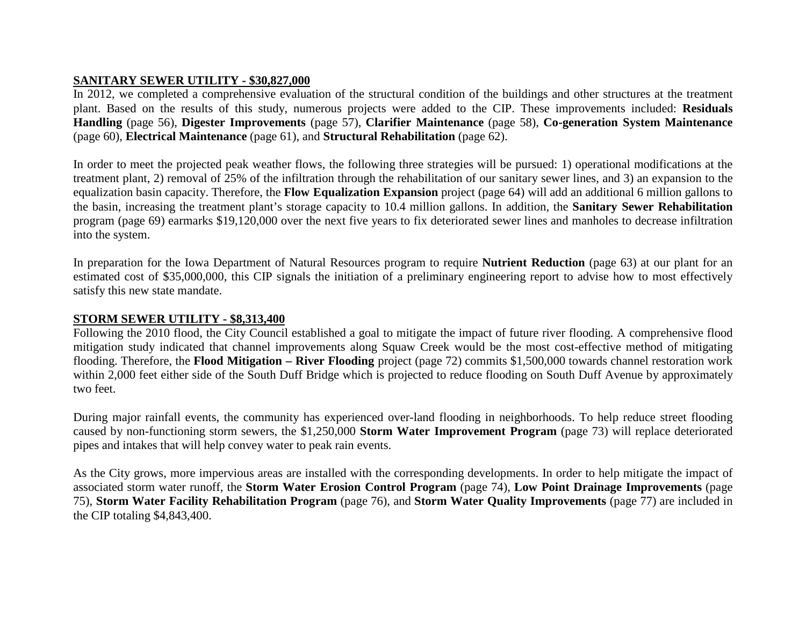#### **SANITARY SEWER UTILITY - \$30,827,000**

In 2012, we completed a comprehensive evaluation of the structural condition of the buildings and other structures at the treatment plant. Based on the results of this study, numerous projects were added to the CIP. These improvements included: **Residuals Handling** (page 56), **Digester Improvements** (page 57), **Clarifier Maintenance** (page 58), **Co-generation System Maintenance**  (page 60), **Electrical Maintenance** (page 61), and **Structural Rehabilitation** (page 62).

 In order to meet the projected peak weather flows, the following three strategies will be pursued: 1) operational modifications at the treatment plant, 2) removal of 25% of the infiltration through the rehabilitation of our sanitary sewer lines, and 3) an expansion to the equalization basin capacity. Therefore, the **Flow Equalization Expansion** project (page 64) will add an additional 6 million gallons to the basin, increasing the treatment plant's storage capacity to 10.4 million gallons. In addition, the **Sanitary Sewer Rehabilitation**  program (page 69) earmarks \$19,120,000 over the next five years to fix deteriorated sewer lines and manholes to decrease infiltration into the system.

In preparation for the Iowa Department of Natural Resources program to require **Nutrient Reduction** (page 63) at our plant for an estimated cost of \$35,000,000, this CIP signals the initiation of a preliminary engineering report to advise how to most effectively satisfy this new state mandate.

#### **STORM SEWER UTILITY - \$8,313,400**

 Following the 2010 flood, the City Council established a goal to mitigate the impact of future river flooding. A comprehensive flood  flooding. Therefore, the **Flood Mitigation – River Flooding** project (page 72) commits \$1,500,000 towards channel restoration work mitigation study indicated that channel improvements along Squaw Creek would be the most cost-effective method of mitigating within 2,000 feet either side of the South Duff Bridge which is projected to reduce flooding on South Duff Avenue by approximately two feet.

 caused by non-functioning storm sewers, the \$1,250,000 **Storm Water Improvement Program** (page 73) will replace deteriorated During major rainfall events, the community has experienced over-land flooding in neighborhoods. To help reduce street flooding pipes and intakes that will help convey water to peak rain events.

 associated storm water runoff, the **Storm Water Erosion Control Program** (page 74), **Low Point Drainage Improvements** (page As the City grows, more impervious areas are installed with the corresponding developments. In order to help mitigate the impact of 75), **Storm Water Facility Rehabilitation Program** (page 76), and **Storm Water Quality Improvements** (page 77) are included in the CIP totaling \$4,843,400.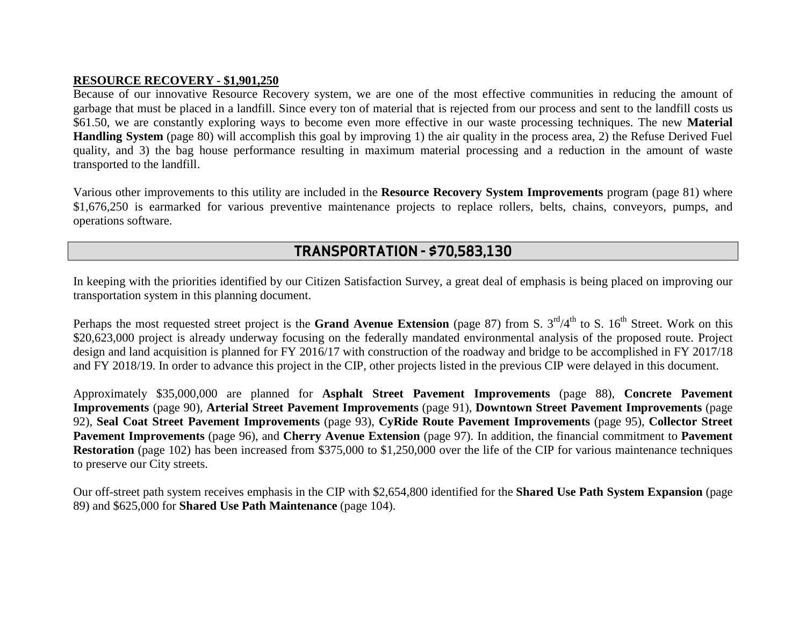#### **RESOURCE RECOVERY - \$1,901,250**

 Because of our innovative Resource Recovery system, we are one of the most effective communities in reducing the amount of transported to the landfill. garbage that must be placed in a landfill. Since every ton of material that is rejected from our process and sent to the landfill costs us \$61.50, we are constantly exploring ways to become even more effective in our waste processing techniques. The new **Material Handling System** (page 80) will accomplish this goal by improving 1) the air quality in the process area, 2) the Refuse Derived Fuel quality, and 3) the bag house performance resulting in maximum material processing and a reduction in the amount of waste

Various other improvements to this utility are included in the **Resource Recovery System Improvements** program (page 81) where \$1,676,250 is earmarked for various preventive maintenance projects to replace rollers, belts, chains, conveyors, pumps, and operations software.

### **TRANSPORTATION - \$70,583,130**

In keeping with the priorities identified by our Citizen Satisfaction Survey, a great deal of emphasis is being placed on improving our transportation system in this planning document.

Perhaps the most requested street project is the Grand Avenue Extension (page 87) from S. 3<sup>rd</sup>/4<sup>th</sup> to S. 16<sup>th</sup> Street. Work on this design and land acquisition is planned for FY 2016/17 with construction of the roadway and bridge to be accomplished in FY 2017/18 and FY 2018/19. In order to advance this project in the CIP, other projects listed in the previous CIP were delayed in this document. \$20,623,000 project is already underway focusing on the federally mandated environmental analysis of the proposed route. Project

 **Improvements** (page 90), **Arterial Street Pavement Improvements** (page 91), **Downtown Street Pavement Improvements** (page **Pavement Improvements** (page 96), and **Cherry Avenue Extension** (page 97). In addition, the financial commitment to **Pavement**  Approximately \$35,000,000 are planned for **Asphalt Street Pavement Improvements** (page 88), **Concrete Pavement**  92), **Seal Coat Street Pavement Improvements** (page 93), **CyRide Route Pavement Improvements** (page 95), **Collector Street Restoration** (page 102) has been increased from \$375,000 to \$1,250,000 over the life of the CIP for various maintenance techniques to preserve our City streets.

 Our off-street path system receives emphasis in the CIP with \$2,654,800 identified for the **Shared Use Path System Expansion** (page 89) and \$625,000 for **Shared Use Path Maintenance** (page 104).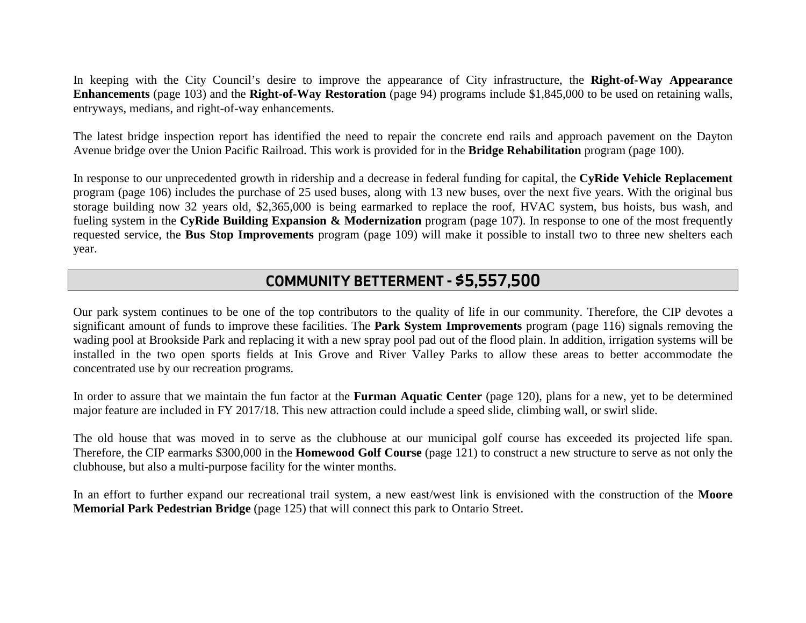In keeping with the City Council's desire to improve the appearance of City infrastructure, the **Right-of-Way Appearance Enhancements** (page 103) and the **Right-of-Way Restoration** (page 94) programs include \$1,845,000 to be used on retaining walls, entryways, medians, and right-of-way enhancements.

Avenue bridge over the Union Pacific Railroad. This work is provided for in the **Bridge Rehabilitation** program (page 100). The latest bridge inspection report has identified the need to repair the concrete end rails and approach pavement on the Dayton

 program (page 106) includes the purchase of 25 used buses, along with 13 new buses, over the next five years. With the original bus storage building now 32 years old, \$2,365,000 is being earmarked to replace the roof, HVAC system, bus hoists, bus wash, and In response to our unprecedented growth in ridership and a decrease in federal funding for capital, the CyRide Vehicle Replacement fueling system in the **CyRide Building Expansion & Modernization** program (page 107). In response to one of the most frequently requested service, the **Bus Stop Improvements** program (page 109) will make it possible to install two to three new shelters each year.

## **COMMUNITY BETTERMENT - \$5,557,500**

 Our park system continues to be one of the top contributors to the quality of life in our community. Therefore, the CIP devotes a wading pool at Brookside Park and replacing it with a new spray pool pad out of the flood plain. In addition, irrigation systems will be installed in the two open sports fields at Inis Grove and River Valley Parks to allow these areas to better accommodate the significant amount of funds to improve these facilities. The **Park System Improvements** program (page 116) signals removing the concentrated use by our recreation programs.

 In order to assure that we maintain the fun factor at the **Furman Aquatic Center** (page 120), plans for a new, yet to be determined major feature are included in FY 2017/18. This new attraction could include a speed slide, climbing wall, or swirl slide.

The old house that was moved in to serve as the clubhouse at our municipal golf course has exceeded its projected life span. Therefore, the CIP earmarks \$300,000 in the **Homewood Golf Course** (page 121) to construct a new structure to serve as not only the clubhouse, but also a multi-purpose facility for the winter months.

In an effort to further expand our recreational trail system, a new east/west link is envisioned with the construction of the **Moore Memorial Park Pedestrian Bridge** (page 125) that will connect this park to Ontario Street.